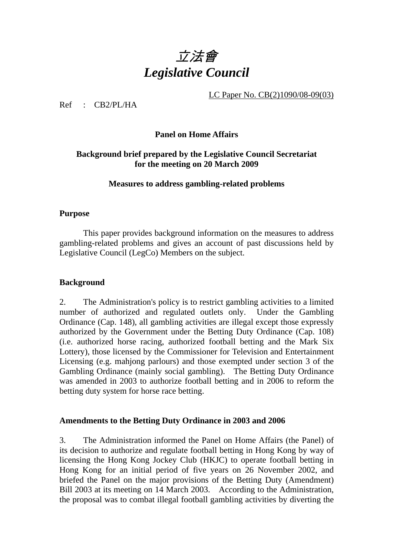

LC Paper No. CB(2)1090/08-09(03)

Ref : CB2/PL/HA

#### **Panel on Home Affairs**

#### **Background brief prepared by the Legislative Council Secretariat for the meeting on 20 March 2009**

#### **Measures to address gambling-related problems**

#### **Purpose**

This paper provides background information on the measures to address gambling-related problems and gives an account of past discussions held by Legislative Council (LegCo) Members on the subject.

#### **Background**

2. The Administration's policy is to restrict gambling activities to a limited number of authorized and regulated outlets only. Under the Gambling Ordinance (Cap. 148), all gambling activities are illegal except those expressly authorized by the Government under the Betting Duty Ordinance (Cap. 108) (i.e. authorized horse racing, authorized football betting and the Mark Six Lottery), those licensed by the Commissioner for Television and Entertainment Licensing (e.g. mahjong parlours) and those exempted under section 3 of the Gambling Ordinance (mainly social gambling). The Betting Duty Ordinance was amended in 2003 to authorize football betting and in 2006 to reform the betting duty system for horse race betting.

#### **Amendments to the Betting Duty Ordinance in 2003 and 2006**

3. The Administration informed the Panel on Home Affairs (the Panel) of its decision to authorize and regulate football betting in Hong Kong by way of licensing the Hong Kong Jockey Club (HKJC) to operate football betting in Hong Kong for an initial period of five years on 26 November 2002, and briefed the Panel on the major provisions of the Betting Duty (Amendment) Bill 2003 at its meeting on 14 March 2003. According to the Administration, the proposal was to combat illegal football gambling activities by diverting the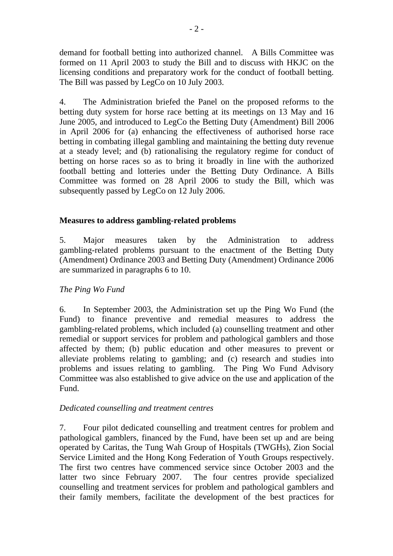demand for football betting into authorized channel. A Bills Committee was formed on 11 April 2003 to study the Bill and to discuss with HKJC on the licensing conditions and preparatory work for the conduct of football betting. The Bill was passed by LegCo on 10 July 2003.

4. The Administration briefed the Panel on the proposed reforms to the betting duty system for horse race betting at its meetings on 13 May and 16 June 2005, and introduced to LegCo the Betting Duty (Amendment) Bill 2006 in April 2006 for (a) enhancing the effectiveness of authorised horse race betting in combating illegal gambling and maintaining the betting duty revenue at a steady level; and (b) rationalising the regulatory regime for conduct of betting on horse races so as to bring it broadly in line with the authorized football betting and lotteries under the Betting Duty Ordinance. A Bills Committee was formed on 28 April 2006 to study the Bill, which was subsequently passed by LegCo on 12 July 2006.

#### **Measures to address gambling-related problems**

5. Major measures taken by the Administration to address gambling-related problems pursuant to the enactment of the Betting Duty (Amendment) Ordinance 2003 and Betting Duty (Amendment) Ordinance 2006 are summarized in paragraphs 6 to 10.

#### *The Ping Wo Fund*

6. In September 2003, the Administration set up the Ping Wo Fund (the Fund) to finance preventive and remedial measures to address the gambling-related problems, which included (a) counselling treatment and other remedial or support services for problem and pathological gamblers and those affected by them; (b) public education and other measures to prevent or alleviate problems relating to gambling; and (c) research and studies into problems and issues relating to gambling. The Ping Wo Fund Advisory Committee was also established to give advice on the use and application of the Fund.

#### *Dedicated counselling and treatment centres*

7. Four pilot dedicated counselling and treatment centres for problem and pathological gamblers, financed by the Fund, have been set up and are being operated by Caritas, the Tung Wah Group of Hospitals (TWGHs), Zion Social Service Limited and the Hong Kong Federation of Youth Groups respectively. The first two centres have commenced service since October 2003 and the latter two since February 2007. The four centres provide specialized counselling and treatment services for problem and pathological gamblers and their family members, facilitate the development of the best practices for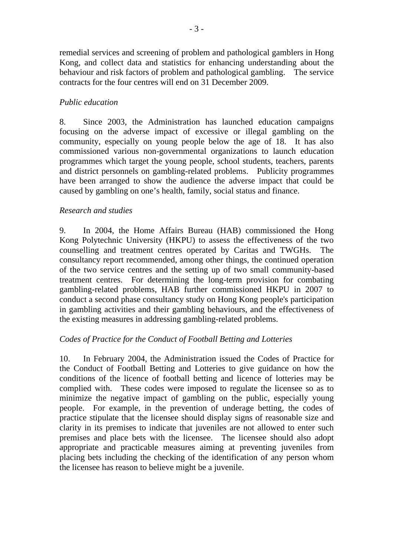remedial services and screening of problem and pathological gamblers in Hong Kong, and collect data and statistics for enhancing understanding about the behaviour and risk factors of problem and pathological gambling. The service contracts for the four centres will end on 31 December 2009.

## *Public education*

8. Since 2003, the Administration has launched education campaigns focusing on the adverse impact of excessive or illegal gambling on the community, especially on young people below the age of 18. It has also commissioned various non-governmental organizations to launch education programmes which target the young people, school students, teachers, parents and district personnels on gambling-related problems. Publicity programmes have been arranged to show the audience the adverse impact that could be caused by gambling on one's health, family, social status and finance.

#### *Research and studies*

9. In 2004, the Home Affairs Bureau (HAB) commissioned the Hong Kong Polytechnic University (HKPU) to assess the effectiveness of the two counselling and treatment centres operated by Caritas and TWGHs. The consultancy report recommended, among other things, the continued operation of the two service centres and the setting up of two small community-based treatment centres. For determining the long-term provision for combating gambling-related problems, HAB further commissioned HKPU in 2007 to conduct a second phase consultancy study on Hong Kong people's participation in gambling activities and their gambling behaviours, and the effectiveness of the existing measures in addressing gambling-related problems.

#### *Codes of Practice for the Conduct of Football Betting and Lotteries*

10. In February 2004, the Administration issued the Codes of Practice for the Conduct of Football Betting and Lotteries to give guidance on how the conditions of the licence of football betting and licence of lotteries may be complied with. These codes were imposed to regulate the licensee so as to minimize the negative impact of gambling on the public, especially young people. For example, in the prevention of underage betting, the codes of practice stipulate that the licensee should display signs of reasonable size and clarity in its premises to indicate that juveniles are not allowed to enter such premises and place bets with the licensee. The licensee should also adopt appropriate and practicable measures aiming at preventing juveniles from placing bets including the checking of the identification of any person whom the licensee has reason to believe might be a juvenile.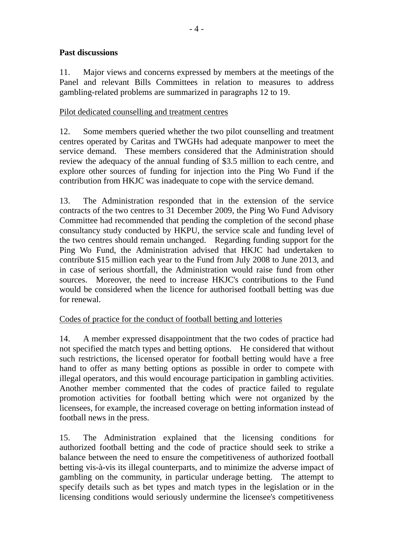## **Past discussions**

11. Major views and concerns expressed by members at the meetings of the Panel and relevant Bills Committees in relation to measures to address gambling-related problems are summarized in paragraphs 12 to 19.

#### Pilot dedicated counselling and treatment centres

12. Some members queried whether the two pilot counselling and treatment centres operated by Caritas and TWGHs had adequate manpower to meet the service demand. These members considered that the Administration should review the adequacy of the annual funding of \$3.5 million to each centre, and explore other sources of funding for injection into the Ping Wo Fund if the contribution from HKJC was inadequate to cope with the service demand.

13. The Administration responded that in the extension of the service contracts of the two centres to 31 December 2009, the Ping Wo Fund Advisory Committee had recommended that pending the completion of the second phase consultancy study conducted by HKPU, the service scale and funding level of the two centres should remain unchanged. Regarding funding support for the Ping Wo Fund, the Administration advised that HKJC had undertaken to contribute \$15 million each year to the Fund from July 2008 to June 2013, and in case of serious shortfall, the Administration would raise fund from other sources. Moreover, the need to increase HKJC's contributions to the Fund would be considered when the licence for authorised football betting was due for renewal.

#### Codes of practice for the conduct of football betting and lotteries

14. A member expressed disappointment that the two codes of practice had not specified the match types and betting options. He considered that without such restrictions, the licensed operator for football betting would have a free hand to offer as many betting options as possible in order to compete with illegal operators, and this would encourage participation in gambling activities. Another member commented that the codes of practice failed to regulate promotion activities for football betting which were not organized by the licensees, for example, the increased coverage on betting information instead of football news in the press.

15. The Administration explained that the licensing conditions for authorized football betting and the code of practice should seek to strike a balance between the need to ensure the competitiveness of authorized football betting vis-à-vis its illegal counterparts, and to minimize the adverse impact of gambling on the community, in particular underage betting. The attempt to specify details such as bet types and match types in the legislation or in the licensing conditions would seriously undermine the licensee's competitiveness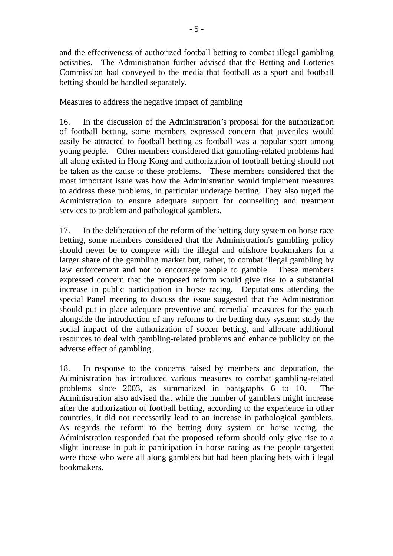and the effectiveness of authorized football betting to combat illegal gambling activities. The Administration further advised that the Betting and Lotteries Commission had conveyed to the media that football as a sport and football betting should be handled separately.

## Measures to address the negative impact of gambling

16. In the discussion of the Administration's proposal for the authorization of football betting, some members expressed concern that juveniles would easily be attracted to football betting as football was a popular sport among young people. Other members considered that gambling-related problems had all along existed in Hong Kong and authorization of football betting should not be taken as the cause to these problems. These members considered that the most important issue was how the Administration would implement measures to address these problems, in particular underage betting. They also urged the Administration to ensure adequate support for counselling and treatment services to problem and pathological gamblers.

17. In the deliberation of the reform of the betting duty system on horse race betting, some members considered that the Administration's gambling policy should never be to compete with the illegal and offshore bookmakers for a larger share of the gambling market but, rather, to combat illegal gambling by law enforcement and not to encourage people to gamble. These members expressed concern that the proposed reform would give rise to a substantial increase in public participation in horse racing. Deputations attending the special Panel meeting to discuss the issue suggested that the Administration should put in place adequate preventive and remedial measures for the youth alongside the introduction of any reforms to the betting duty system; study the social impact of the authorization of soccer betting, and allocate additional resources to deal with gambling-related problems and enhance publicity on the adverse effect of gambling.

18. In response to the concerns raised by members and deputation, the Administration has introduced various measures to combat gambling-related problems since 2003, as summarized in paragraphs 6 to 10. The Administration also advised that while the number of gamblers might increase after the authorization of football betting, according to the experience in other countries, it did not necessarily lead to an increase in pathological gamblers. As regards the reform to the betting duty system on horse racing, the Administration responded that the proposed reform should only give rise to a slight increase in public participation in horse racing as the people targetted were those who were all along gamblers but had been placing bets with illegal bookmakers.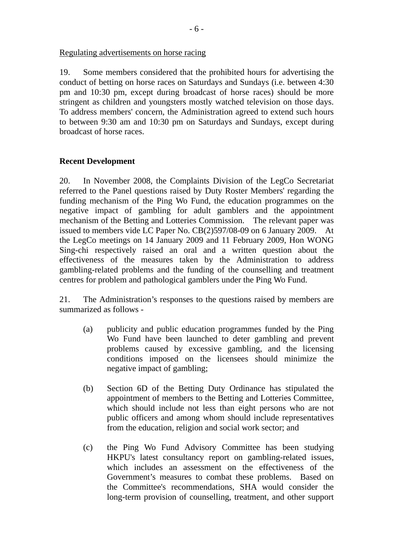Regulating advertisements on horse racing

19. Some members considered that the prohibited hours for advertising the conduct of betting on horse races on Saturdays and Sundays (i.e. between 4:30 pm and 10:30 pm, except during broadcast of horse races) should be more stringent as children and youngsters mostly watched television on those days. To address members' concern, the Administration agreed to extend such hours to between 9:30 am and 10:30 pm on Saturdays and Sundays, except during broadcast of horse races.

#### **Recent Development**

20. In November 2008, the Complaints Division of the LegCo Secretariat referred to the Panel questions raised by Duty Roster Members' regarding the funding mechanism of the Ping Wo Fund, the education programmes on the negative impact of gambling for adult gamblers and the appointment mechanism of the Betting and Lotteries Commission. The relevant paper was issued to members vide LC Paper No. CB(2)597/08-09 on 6 January 2009. At the LegCo meetings on 14 January 2009 and 11 February 2009, Hon WONG Sing-chi respectively raised an oral and a written question about the effectiveness of the measures taken by the Administration to address gambling-related problems and the funding of the counselling and treatment centres for problem and pathological gamblers under the Ping Wo Fund.

21. The Administration's responses to the questions raised by members are summarized as follows -

- (a) publicity and public education programmes funded by the Ping Wo Fund have been launched to deter gambling and prevent problems caused by excessive gambling, and the licensing conditions imposed on the licensees should minimize the negative impact of gambling;
- (b) Section 6D of the Betting Duty Ordinance has stipulated the appointment of members to the Betting and Lotteries Committee, which should include not less than eight persons who are not public officers and among whom should include representatives from the education, religion and social work sector; and
- (c) the Ping Wo Fund Advisory Committee has been studying HKPU's latest consultancy report on gambling-related issues, which includes an assessment on the effectiveness of the Government's measures to combat these problems. Based on the Committee's recommendations, SHA would consider the long-term provision of counselling, treatment, and other support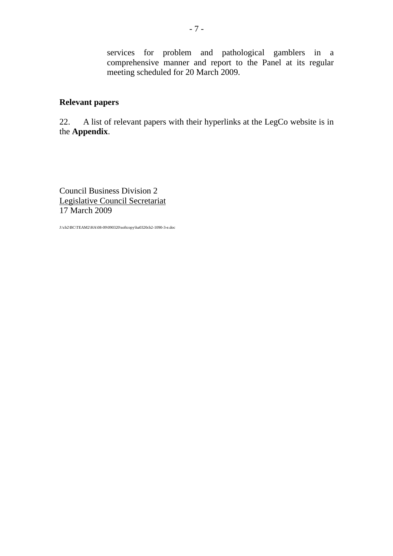services for problem and pathological gamblers in a comprehensive manner and report to the Panel at its regular meeting scheduled for 20 March 2009.

## **Relevant papers**

22. A list of relevant papers with their hyperlinks at the LegCo website is in the **Appendix**.

Council Business Division 2 Legislative Council Secretariat 17 March 2009

J:\cb2\BC\TEAM2\HA\08-09\090320\softcopy\ha0320cb2-1090-3-e.doc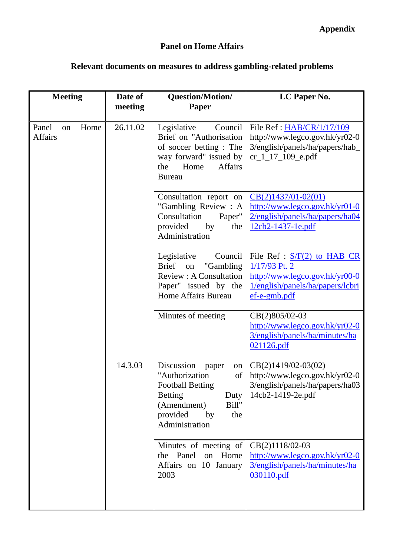## **Panel on Home Affairs**

# **Relevant documents on measures to address gambling-related problems**

| <b>Meeting</b>                        | Date of<br>meeting | Question/Motion/<br>Paper                                                                                                                                                 | LC Paper No.                                                                                                                           |
|---------------------------------------|--------------------|---------------------------------------------------------------------------------------------------------------------------------------------------------------------------|----------------------------------------------------------------------------------------------------------------------------------------|
|                                       |                    |                                                                                                                                                                           |                                                                                                                                        |
| Panel<br>Home<br>on<br><b>Affairs</b> | 26.11.02           | Council<br>Legislative<br>Brief on "Authorisation<br>of soccer betting: The<br>way forward" issued by<br>Home<br>Affairs<br>the<br><b>Bureau</b>                          | File Ref: HAB/CR/1/17/109<br>http://www.legco.gov.hk/yr02-0<br>3/english/panels/ha/papers/hab_<br>$cr_1_1_7_1_0_9$ <sub>_e.pdf</sub>   |
|                                       |                    | Consultation report on<br>"Gambling Review: A<br>Consultation<br>Paper"<br>provided<br>by<br>the<br>Administration                                                        | $CB(2)1437/01-02(01)$<br>http://www.legco.gov.hk/yr01-0<br>2/english/panels/ha/papers/ha04<br>12cb2-1437-1e.pdf                        |
|                                       |                    | Legislative<br>Council<br>"Gambling"<br><b>Brief</b><br>on<br><b>Review: A Consultation</b><br>Paper" issued by the<br><b>Home Affairs Bureau</b>                         | File Ref : $S/F(2)$ to HAB CR<br>$1/17/93$ Pt. 2<br>http://www.legco.gov.hk/yr00-0<br>1/english/panels/ha/papers/lcbri<br>ef-e-gmb.pdf |
|                                       |                    | Minutes of meeting                                                                                                                                                        | CB(2)805/02-03<br>http://www.legco.gov.hk/yr02-0<br>3/english/panels/ha/minutes/ha<br>021126.pdf                                       |
|                                       | 14.3.03            | Discussion<br>paper<br>on<br>"Authorization<br>of<br><b>Football Betting</b><br><b>Betting</b><br>Duty<br>(Amendment)<br>Bill"<br>provided<br>the<br>by<br>Administration | $CB(2)1419/02-03(02)$<br>http://www.legco.gov.hk/yr02-0<br>3/english/panels/ha/papers/ha03<br>14cb2-1419-2e.pdf                        |
|                                       |                    | Minutes of meeting of<br>the Panel<br>on Home<br>Affairs on 10 January<br>2003                                                                                            | CB(2)1118/02-03<br>http://www.legco.gov.hk/yr02-0<br>3/english/panels/ha/minutes/ha<br>030110.pdf                                      |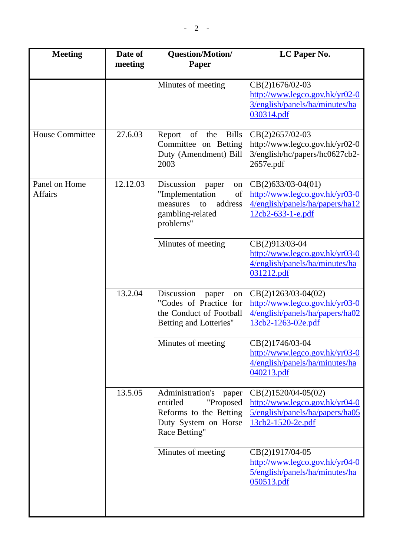| <b>Meeting</b>                  | Date of<br>meeting | Question/Motion/<br><b>Paper</b>                                                                                      | LC Paper No.                                                                                                     |
|---------------------------------|--------------------|-----------------------------------------------------------------------------------------------------------------------|------------------------------------------------------------------------------------------------------------------|
|                                 |                    | Minutes of meeting                                                                                                    | CB(2)1676/02-03<br>http://www.legco.gov.hk/yr02-0<br>3/english/panels/ha/minutes/ha<br>030314.pdf                |
| <b>House Committee</b>          | 27.6.03            | <b>Bills</b><br>Report<br>of<br>the<br>Committee on Betting<br>Duty (Amendment) Bill<br>2003                          | CB(2)2657/02-03<br>http://www.legco.gov.hk/yr02-0<br>3/english/hc/papers/hc0627cb2-<br>2657e.pdf                 |
| Panel on Home<br><b>Affairs</b> | 12.12.03           | Discussion<br>paper<br>on<br>"Implementation<br>of<br>address<br>measures<br>to<br>gambling-related<br>problems"      | $CB(2)633/03-04(01)$<br>http://www.legco.gov.hk/yr03-0<br>4/english/panels/ha/papers/ha12<br>12cb2-633-1-e.pdf   |
|                                 |                    | Minutes of meeting                                                                                                    | CB(2)913/03-04<br>http://www.legco.gov.hk/yr03-0<br>4/english/panels/ha/minutes/ha<br>031212.pdf                 |
|                                 | 13.2.04            | Discussion<br>paper<br>on<br>"Codes of Practice for<br>the Conduct of Football<br>Betting and Lotteries"              | $CB(2)1263/03-04(02)$<br>http://www.legco.gov.hk/yr03-0<br>4/english/panels/ha/papers/ha02<br>13cb2-1263-02e.pdf |
|                                 |                    | Minutes of meeting                                                                                                    | CB(2)1746/03-04<br>http://www.legco.gov.hk/yr03-0<br>4/english/panels/ha/minutes/ha<br>040213.pdf                |
|                                 | 13.5.05            | Administration's<br>paper<br>entitled<br>"Proposed<br>Reforms to the Betting<br>Duty System on Horse<br>Race Betting" | $CB(2)1520/04-05(02)$<br>http://www.legco.gov.hk/yr04-0<br>5/english/panels/ha/papers/ha05<br>13cb2-1520-2e.pdf  |
|                                 |                    | Minutes of meeting                                                                                                    | CB(2)1917/04-05<br>http://www.legco.gov.hk/yr04-0<br>5/english/panels/ha/minutes/ha<br>050513.pdf                |